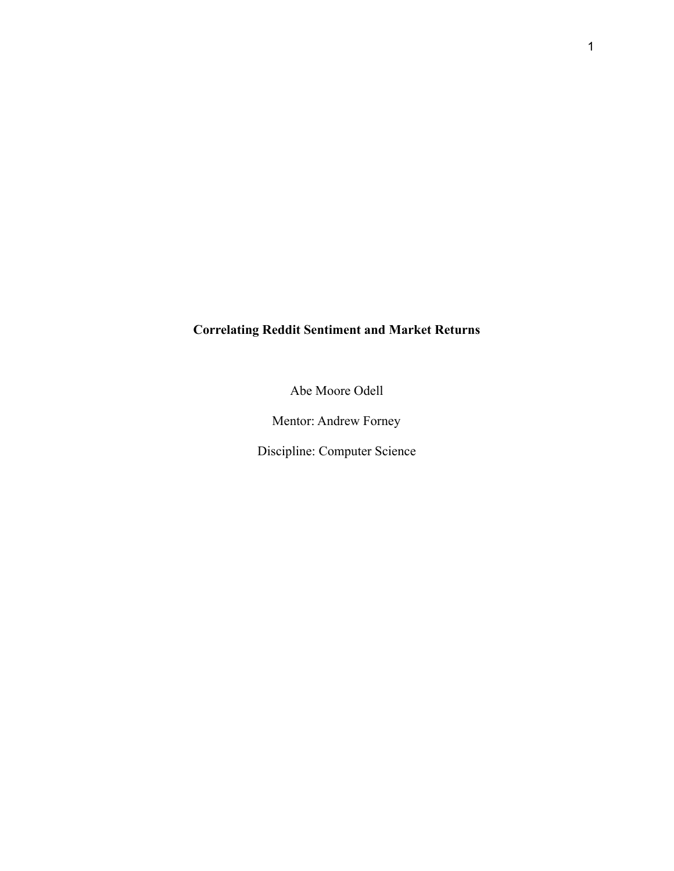# **Correlating Reddit Sentiment and Market Returns**

Abe Moore Odell

Mentor: Andrew Forney

Discipline: Computer Science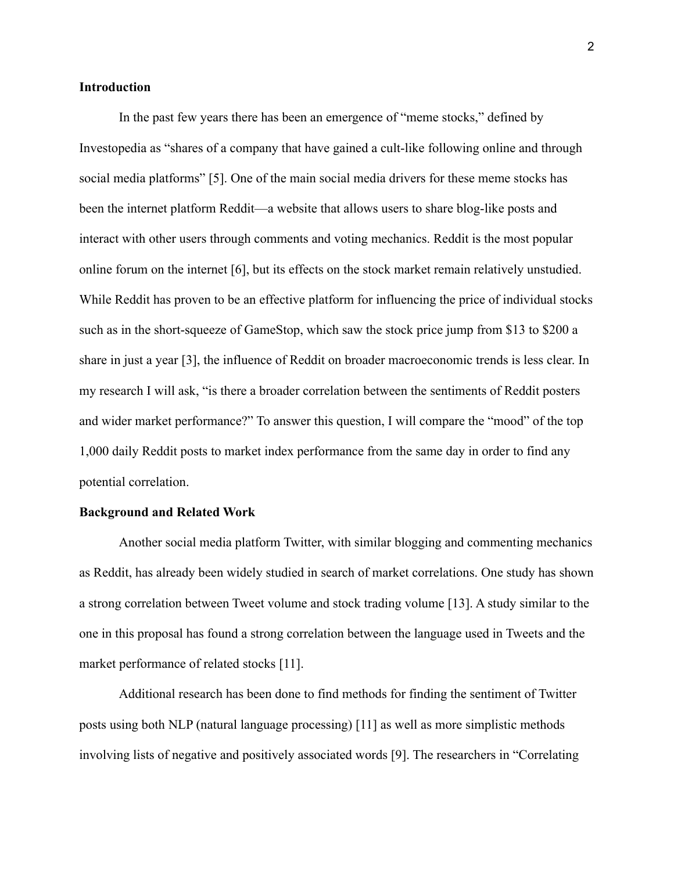# **Introduction**

In the past few years there has been an emergence of "meme stocks," defined by Investopedia as "shares of a company that have gained a cult-like following online and through social media platforms" [5]. One of the main social media drivers for these meme stocks has been the internet platform Reddit—a website that allows users to share blog-like posts and interact with other users through comments and voting mechanics. Reddit is the most popular online forum on the internet [6], but its effects on the stock market remain relatively unstudied. While Reddit has proven to be an effective platform for influencing the price of individual stocks such as in the short-squeeze of GameStop, which saw the stock price jump from \$13 to \$200 a share in just a year [3], the influence of Reddit on broader macroeconomic trends is less clear. In my research I will ask, "is there a broader correlation between the sentiments of Reddit posters and wider market performance?" To answer this question, I will compare the "mood" of the top 1,000 daily Reddit posts to market index performance from the same day in order to find any potential correlation.

## **Background and Related Work**

Another social media platform Twitter, with similar blogging and commenting mechanics as Reddit, has already been widely studied in search of market correlations. One study has shown a strong correlation between Tweet volume and stock trading volume [13]. A study similar to the one in this proposal has found a strong correlation between the language used in Tweets and the market performance of related stocks [11].

Additional research has been done to find methods for finding the sentiment of Twitter posts using both NLP (natural language processing) [11] as well as more simplistic methods involving lists of negative and positively associated words [9]. The researchers in "Correlating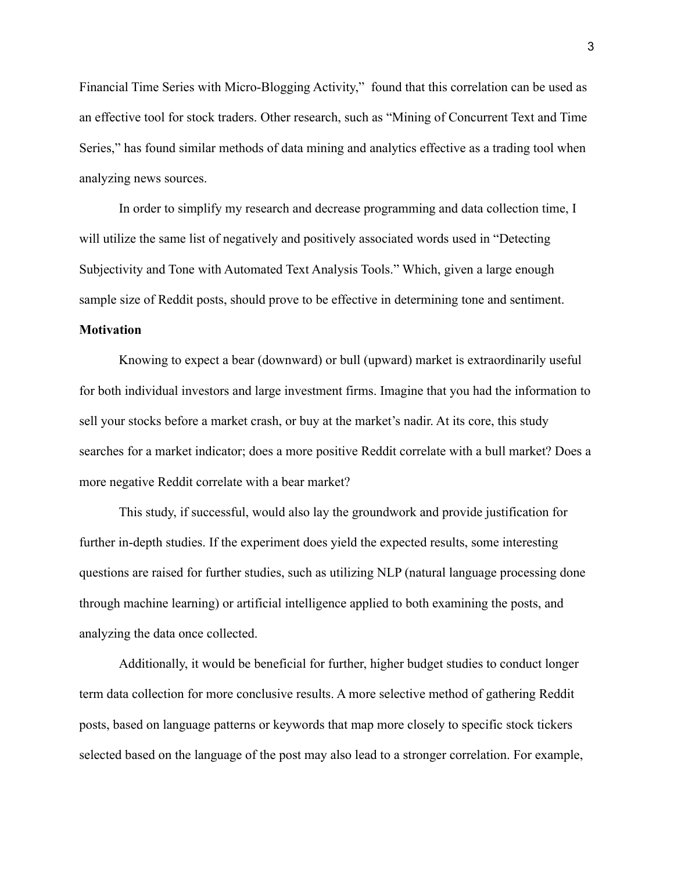Financial Time Series with Micro-Blogging Activity," found that this correlation can be used as an effective tool for stock traders. Other research, such as "Mining of Concurrent Text and Time Series," has found similar methods of data mining and analytics effective as a trading tool when analyzing news sources.

In order to simplify my research and decrease programming and data collection time, I will utilize the same list of negatively and positively associated words used in "Detecting Subjectivity and Tone with Automated Text Analysis Tools." Which, given a large enough sample size of Reddit posts, should prove to be effective in determining tone and sentiment.

# **Motivation**

Knowing to expect a bear (downward) or bull (upward) market is extraordinarily useful for both individual investors and large investment firms. Imagine that you had the information to sell your stocks before a market crash, or buy at the market's nadir. At its core, this study searches for a market indicator; does a more positive Reddit correlate with a bull market? Does a more negative Reddit correlate with a bear market?

This study, if successful, would also lay the groundwork and provide justification for further in-depth studies. If the experiment does yield the expected results, some interesting questions are raised for further studies, such as utilizing NLP (natural language processing done through machine learning) or artificial intelligence applied to both examining the posts, and analyzing the data once collected.

Additionally, it would be beneficial for further, higher budget studies to conduct longer term data collection for more conclusive results. A more selective method of gathering Reddit posts, based on language patterns or keywords that map more closely to specific stock tickers selected based on the language of the post may also lead to a stronger correlation. For example,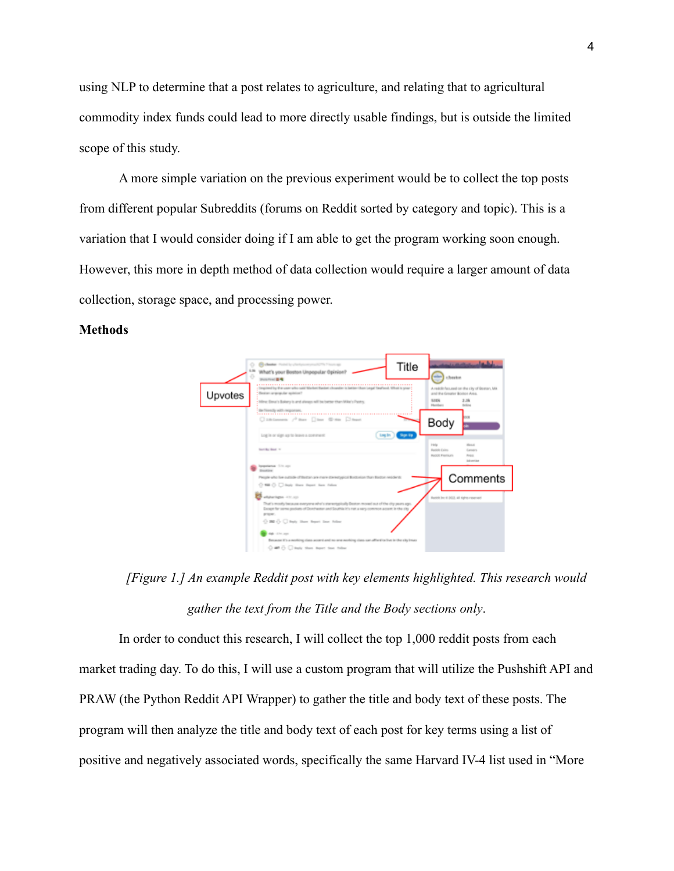using NLP to determine that a post relates to agriculture, and relating that to agricultural commodity index funds could lead to more directly usable findings, but is outside the limited scope of this study.

A more simple variation on the previous experiment would be to collect the top posts from different popular Subreddits (forums on Reddit sorted by category and topic). This is a variation that I would consider doing if I am able to get the program working soon enough. However, this more in depth method of data collection would require a larger amount of data collection, storage space, and processing power.

# **Methods**



*[Figure 1.] An example Reddit post with key elements highlighted. This research would gather the text from the Title and the Body sections only*.

In order to conduct this research, I will collect the top 1,000 reddit posts from each market trading day. To do this, I will use a custom program that will utilize the Pushshift API and PRAW (the Python Reddit API Wrapper) to gather the title and body text of these posts. The program will then analyze the title and body text of each post for key terms using a list of positive and negatively associated words, specifically the same Harvard IV-4 list used in "More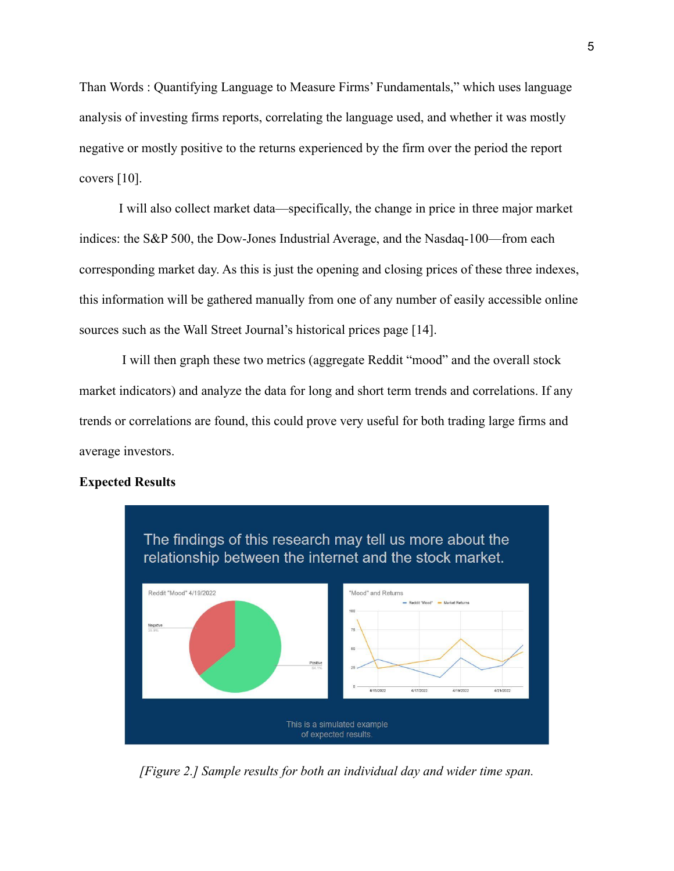Than Words : Quantifying Language to Measure Firms' Fundamentals," which uses language analysis of investing firms reports, correlating the language used, and whether it was mostly negative or mostly positive to the returns experienced by the firm over the period the report covers [10].

I will also collect market data—specifically, the change in price in three major market indices: the S&P 500, the Dow-Jones Industrial Average, and the Nasdaq-100—from each corresponding market day. As this is just the opening and closing prices of these three indexes, this information will be gathered manually from one of any number of easily accessible online sources such as the Wall Street Journal's historical prices page [14].

I will then graph these two metrics (aggregate Reddit "mood" and the overall stock market indicators) and analyze the data for long and short term trends and correlations. If any trends or correlations are found, this could prove very useful for both trading large firms and average investors.

#### **Expected Results**



*[Figure 2.] Sample results for both an individual day and wider time span.*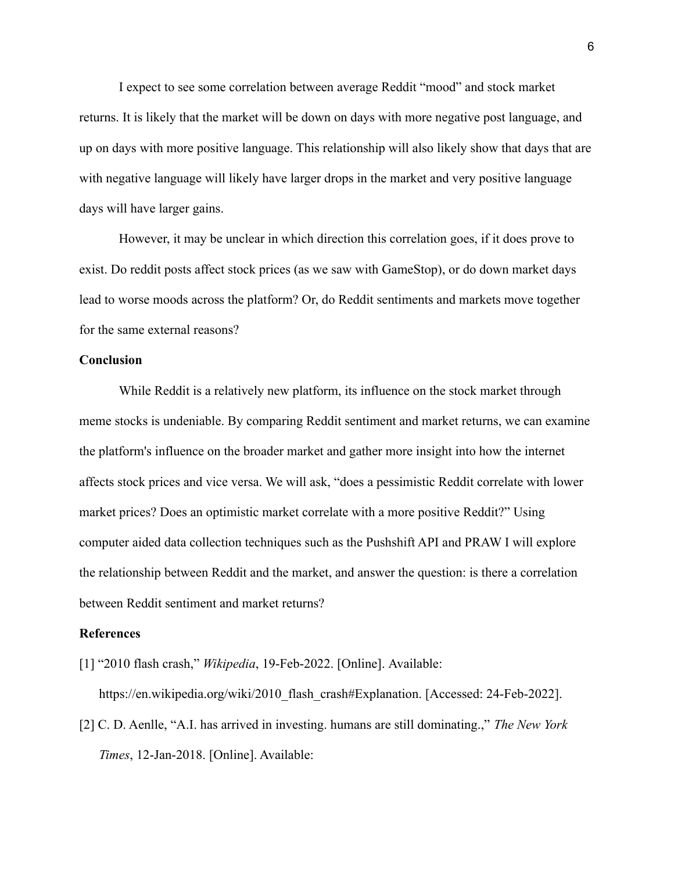I expect to see some correlation between average Reddit "mood" and stock market returns. It is likely that the market will be down on days with more negative post language, and up on days with more positive language. This relationship will also likely show that days that are with negative language will likely have larger drops in the market and very positive language days will have larger gains.

However, it may be unclear in which direction this correlation goes, if it does prove to exist. Do reddit posts affect stock prices (as we saw with GameStop), or do down market days lead to worse moods across the platform? Or, do Reddit sentiments and markets move together for the same external reasons?

# **Conclusion**

While Reddit is a relatively new platform, its influence on the stock market through meme stocks is undeniable. By comparing Reddit sentiment and market returns, we can examine the platform's influence on the broader market and gather more insight into how the internet affects stock prices and vice versa. We will ask, "does a pessimistic Reddit correlate with lower market prices? Does an optimistic market correlate with a more positive Reddit?" Using computer aided data collection techniques such as the Pushshift API and PRAW I will explore the relationship between Reddit and the market, and answer the question: is there a correlation between Reddit sentiment and market returns?

## **References**

[1] "2010 flash crash," *Wikipedia*, 19-Feb-2022. [Online]. Available:

https://en.wikipedia.org/wiki/2010 flash\_crash#Explanation. [Accessed: 24-Feb-2022].

[2] C. D. Aenlle, "A.I. has arrived in investing. humans are still dominating.," *The New York Times*, 12-Jan-2018. [Online]. Available: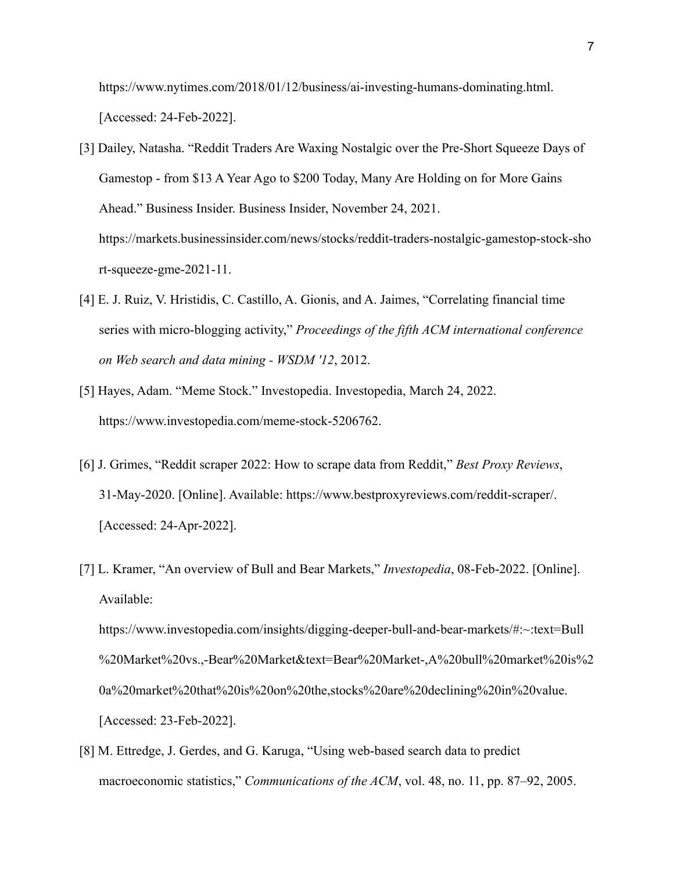https://www.nytimes.com/2018/01/12/business/ai-investing-humans-dominating.html. [Accessed: 24-Feb-2022].

- [3] Dailey, Natasha. "Reddit Traders Are Waxing Nostalgic over the Pre-Short Squeeze Days of Gamestop - from \$13 A Year Ago to \$200 Today, Many Are Holding on for More Gains Ahead." Business Insider. Business Insider, November 24, 2021. https://markets.businessinsider.com/news/stocks/reddit-traders-nostalgic-gamestop-stock-sho rt-squeeze-gme-2021-11.
- [4] E. J. Ruiz, V. Hristidis, C. Castillo, A. Gionis, and A. Jaimes, "Correlating financial time series with micro-blogging activity," *Proceedings of the fifth ACM international conference on Web search and data mining - WSDM '12*, 2012.
- [5] Hayes, Adam. "Meme Stock." Investopedia. Investopedia, March 24, 2022. https://www.investopedia.com/meme-stock-5206762.
- [6] J. Grimes, "Reddit scraper 2022: How to scrape data from Reddit," *Best Proxy Reviews*, 31-May-2020. [Online]. Available: https://www.bestproxyreviews.com/reddit-scraper/. [Accessed: 24-Apr-2022].
- [7] L. Kramer, "An overview of Bull and Bear Markets," *Investopedia*, 08-Feb-2022. [Online]. Available: https://www.investopedia.com/insights/digging-deeper-bull-and-bear-markets/#:~:text=Bull %20Market%20vs.,-Bear%20Market&text=Bear%20Market-,A%20bull%20market%20is%2 0a%20market%20that%20is%20on%20the,stocks%20are%20declining%20in%20value. [Accessed: 23-Feb-2022].
- [8] M. Ettredge, J. Gerdes, and G. Karuga, "Using web-based search data to predict macroeconomic statistics," *Communications of the ACM*, vol. 48, no. 11, pp. 87–92, 2005.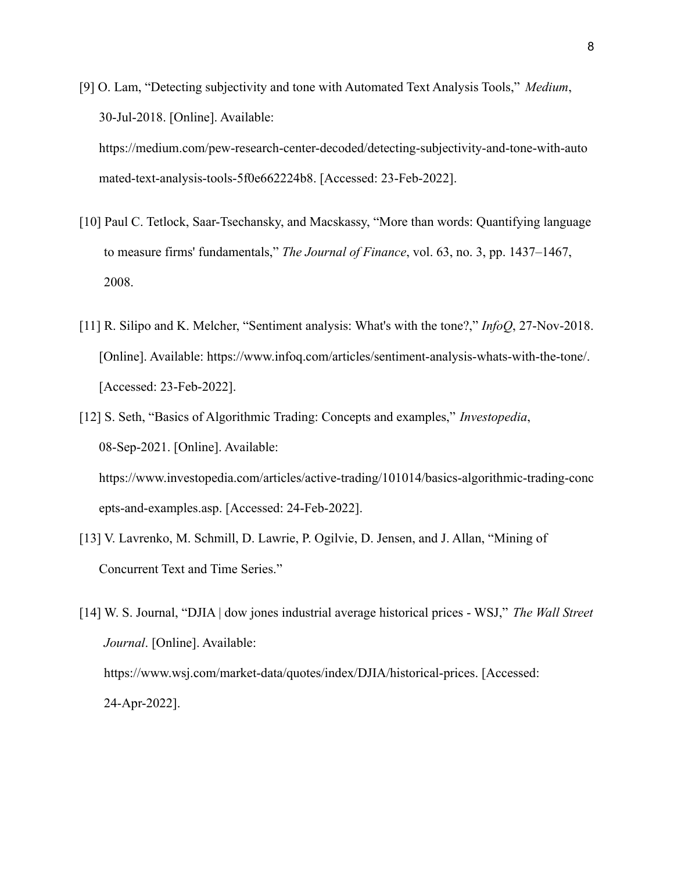- [9] O. Lam, "Detecting subjectivity and tone with Automated Text Analysis Tools," *Medium*, 30-Jul-2018. [Online]. Available: https://medium.com/pew-research-center-decoded/detecting-subjectivity-and-tone-with-auto mated-text-analysis-tools-5f0e662224b8. [Accessed: 23-Feb-2022].
- [10] Paul C. Tetlock, Saar-Tsechansky, and Macskassy, "More than words: Quantifying language to measure firms' fundamentals," *The Journal of Finance*, vol. 63, no. 3, pp. 1437–1467, 2008.
- [11] R. Silipo and K. Melcher, "Sentiment analysis: What's with the tone?," *InfoQ*, 27-Nov-2018. [Online]. Available: https://www.infoq.com/articles/sentiment-analysis-whats-with-the-tone/. [Accessed: 23-Feb-2022].
- [12] S. Seth, "Basics of Algorithmic Trading: Concepts and examples," *Investopedia*, 08-Sep-2021. [Online]. Available: https://www.investopedia.com/articles/active-trading/101014/basics-algorithmic-trading-conc epts-and-examples.asp. [Accessed: 24-Feb-2022].
- [13] V. Lavrenko, M. Schmill, D. Lawrie, P. Ogilvie, D. Jensen, and J. Allan, "Mining of Concurrent Text and Time Series."
- [14] W. S. Journal, "DJIA | dow jones industrial average historical prices WSJ," *The Wall Street Journal*. [Online]. Available: https://www.wsj.com/market-data/quotes/index/DJIA/historical-prices. [Accessed: 24-Apr-2022].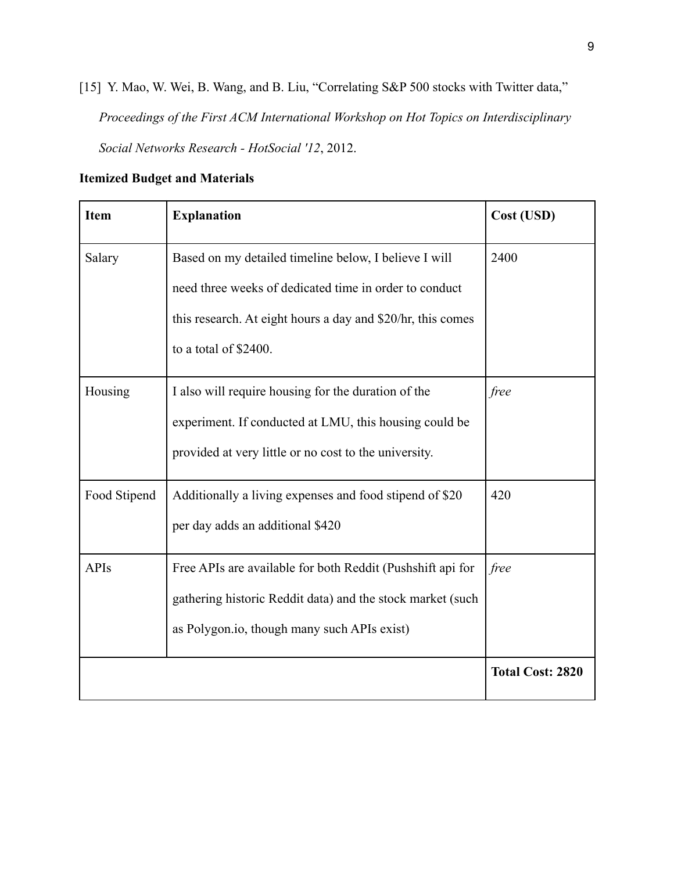[15] Y. Mao, W. Wei, B. Wang, and B. Liu, "Correlating S&P 500 stocks with Twitter data," *Proceedings of the First ACM International Workshop on Hot Topics on Interdisciplinary Social Networks Research - HotSocial '12*, 2012.

| <b>Item</b>  | <b>Explanation</b>                                          | Cost (USD)              |  |  |  |
|--------------|-------------------------------------------------------------|-------------------------|--|--|--|
| Salary       | Based on my detailed timeline below, I believe I will       | 2400                    |  |  |  |
|              | need three weeks of dedicated time in order to conduct      |                         |  |  |  |
|              | this research. At eight hours a day and \$20/hr, this comes |                         |  |  |  |
|              | to a total of \$2400.                                       |                         |  |  |  |
| Housing      | I also will require housing for the duration of the         | free                    |  |  |  |
|              | experiment. If conducted at LMU, this housing could be      |                         |  |  |  |
|              | provided at very little or no cost to the university.       |                         |  |  |  |
| Food Stipend | Additionally a living expenses and food stipend of \$20     | 420                     |  |  |  |
|              | per day adds an additional \$420                            |                         |  |  |  |
| <b>APIs</b>  | Free APIs are available for both Reddit (Pushshift api for  | free                    |  |  |  |
|              | gathering historic Reddit data) and the stock market (such  |                         |  |  |  |
|              | as Polygon.io, though many such APIs exist)                 |                         |  |  |  |
|              |                                                             | <b>Total Cost: 2820</b> |  |  |  |

# **Itemized Budget and Materials**